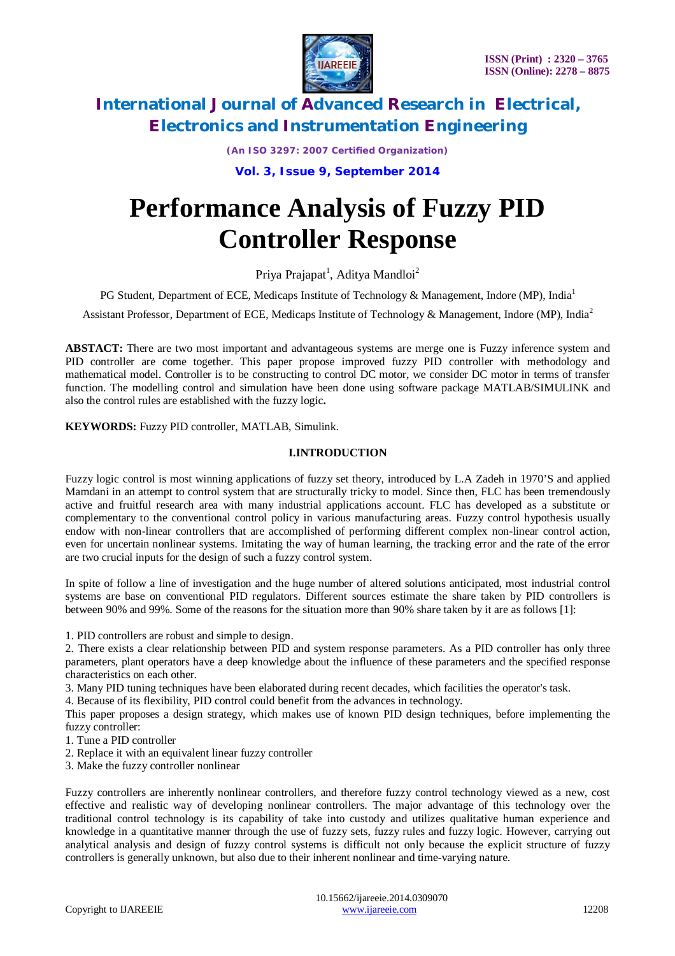

*(An ISO 3297: 2007 Certified Organization)*

**Vol. 3, Issue 9, September 2014**

# **Performance Analysis of Fuzzy PID Controller Response**

Priya Prajapat<sup>1</sup>, Aditya Mandloi<sup>2</sup>

PG Student, Department of ECE, Medicaps Institute of Technology & Management, Indore (MP), India<sup>1</sup>

Assistant Professor, Department of ECE, Medicaps Institute of Technology & Management, Indore (MP), India<sup>2</sup>

**ABSTACT:** There are two most important and advantageous systems are merge one is Fuzzy inference system and PID controller are come together. This paper propose improved fuzzy PID controller with methodology and mathematical model. Controller is to be constructing to control DC motor, we consider DC motor in terms of transfer function. The modelling control and simulation have been done using software package MATLAB/SIMULINK and also the control rules are established with the fuzzy logic**.** 

**KEYWORDS:** Fuzzy PID controller, MATLAB, Simulink.

#### **I.INTRODUCTION**

Fuzzy logic control is most winning applications of fuzzy set theory, introduced by L.A Zadeh in 1970'S and applied Mamdani in an attempt to control system that are structurally tricky to model. Since then, FLC has been tremendously active and fruitful research area with many industrial applications account. FLC has developed as a substitute or complementary to the conventional control policy in various manufacturing areas. Fuzzy control hypothesis usually endow with non-linear controllers that are accomplished of performing different complex non-linear control action, even for uncertain nonlinear systems. Imitating the way of human learning, the tracking error and the rate of the error are two crucial inputs for the design of such a fuzzy control system.

In spite of follow a line of investigation and the huge number of altered solutions anticipated, most industrial control systems are base on conventional PID regulators. Different sources estimate the share taken by PID controllers is between 90% and 99%. Some of the reasons for the situation more than 90% share taken by it are as follows [1]:

1. PID controllers are robust and simple to design.

2. There exists a clear relationship between PID and system response parameters. As a PID controller has only three parameters, plant operators have a deep knowledge about the influence of these parameters and the specified response characteristics on each other.

3. Many PID tuning techniques have been elaborated during recent decades, which facilities the operator's task.

4. Because of its flexibility, PID control could benefit from the advances in technology.

This paper proposes a design strategy, which makes use of known PID design techniques, before implementing the fuzzy controller:

- 1. Tune a PID controller
- 2. Replace it with an equivalent linear fuzzy controller
- 3. Make the fuzzy controller nonlinear

Fuzzy controllers are inherently nonlinear controllers, and therefore fuzzy control technology viewed as a new, cost effective and realistic way of developing nonlinear controllers. The major advantage of this technology over the traditional control technology is its capability of take into custody and utilizes qualitative human experience and knowledge in a quantitative manner through the use of fuzzy sets, fuzzy rules and fuzzy logic. However, carrying out analytical analysis and design of fuzzy control systems is difficult not only because the explicit structure of fuzzy controllers is generally unknown, but also due to their inherent nonlinear and time-varying nature.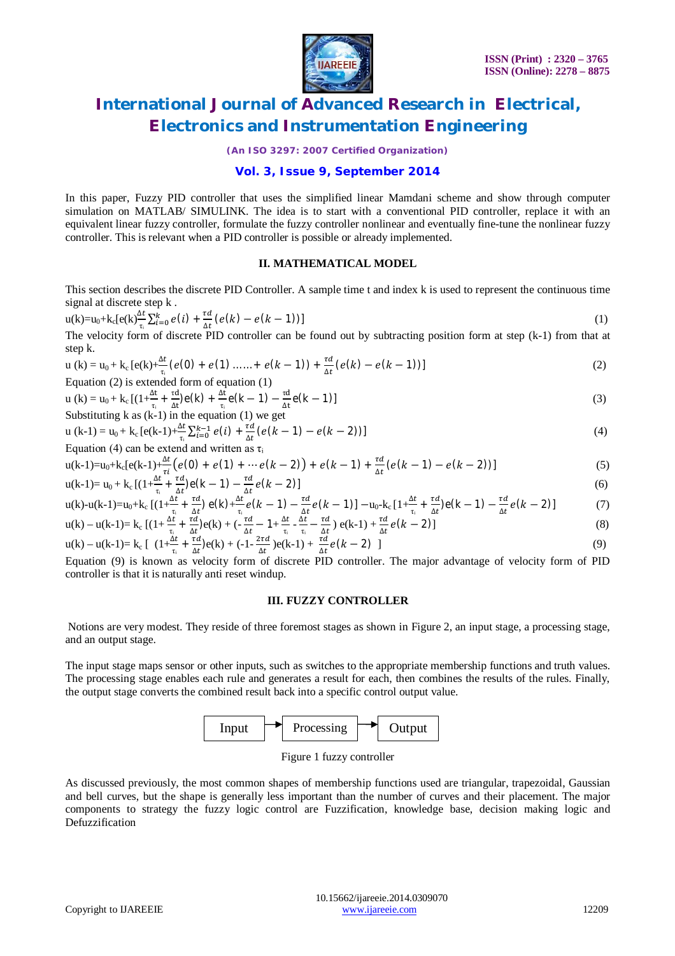

*(An ISO 3297: 2007 Certified Organization)*

### **Vol. 3, Issue 9, September 2014**

In this paper, Fuzzy PID controller that uses the simplified linear Mamdani scheme and show through computer simulation on MATLAB/ SIMULINK. The idea is to start with a conventional PID controller, replace it with an equivalent linear fuzzy controller, formulate the fuzzy controller nonlinear and eventually fine-tune the nonlinear fuzzy controller. This is relevant when a PID controller is possible or already implemented.

#### **II. MATHEMATICAL MODEL**

This section describes the discrete PID Controller. A sample time t and index k is used to represent the continuous time signal at discrete step k .

$$
u(k)=u_0+k_c[e(k)]\frac{dt}{\tau_i}\sum_{i=0}^k e(i) + \frac{\tau d}{\Delta t}(e(k)-e(k-1))]
$$
\n(1)

The velocity form of discrete PID controller can be found out by subtracting position form at step (k-1) from that at step k.

u (k) = u<sub>0</sub> + k<sub>c</sub> [e(k)+
$$
\frac{\Delta t}{\tau_i}
$$
 (e(0) + e(1) .... + e(k-1)) +  $\frac{\tau d}{\Delta t}$  (e(k) - e(k-1))]  
Equation (2) is extended form of equation (1) (2)

$$
u(k) = u_0 + k_c \left[ \left( 1 + \frac{\Delta t}{\tau_i} + \frac{\tau d}{\Delta t} \right) e(k) + \frac{\Delta t}{\tau_i} e(k-1) - \frac{\tau d}{\Delta t} e(k-1) \right]
$$
\nSubstituting k as (k-1) in the equation (1) we get

Substituting k as (k-1) in the equation (1) we get  
\nu (k-1) = 
$$
u_0 + k_c [e(k-1) + \frac{\Delta t}{\tau} \sum_{i=0}^{k-1} e(i) + \frac{\tau d}{\Delta t} (e(k-1) - e(k-2))]
$$
 (4)

 $\frac{\Delta t}{\Delta t}$  Equation (4) can be extend and written as  $\tau_i$ 

$$
u(k-1)=u_0+k_c[e(k-1)+\frac{\Delta t}{\tau i}(e(0)+e(1)+\cdots e(k-2))+e(k-1)+\frac{\tau d}{\Delta t}(e(k-1)-e(k-2))]
$$
\n(5)

$$
u(k-1) = u_0 + k_c \left[ \left( 1 + \frac{\Delta t}{\tau_i} + \frac{\tau d}{\Delta t} \right) e(k-1) - \frac{\tau d}{\Delta t} e(k-2) \right]
$$
\n(6)

$$
u(k)-u(k-1)=u_0+k_c \left[ (1+\frac{\Delta t}{\tau_i}+\frac{\tau d}{\Delta t}) e(k)+\frac{\Delta t}{\tau_i} e(k-1)-\frac{\tau d}{\Delta t} e(k-1) \right] -u_0-k_c \left[ 1+\frac{\Delta t}{\tau_i}+\frac{\tau d}{\Delta t} e(k-1)-\frac{\tau d}{\Delta t} e(k-2) \right]
$$
(7)  

$$
u(k)-u(k-1)=k_c \left[ (1+\frac{\Delta t}{\tau_i}+\frac{\tau d}{\Delta t}) e(k)+(-\frac{\tau d}{\Delta t}-1+\frac{\Delta t}{\tau_i}-\frac{\tau d}{\Delta t}) e(k-1)+\frac{\tau d}{\Delta t} e(k-2) \right]
$$
(8)

$$
u(k) - u(k-1) = k_c \left[ \left( 1 + \frac{\Delta t}{\tau_1} + \frac{\tau d}{\Delta t} \right) e(k) + \left( -\frac{\tau d}{\Delta t} - 1 + \frac{\Delta t}{\tau_1} - \frac{\Delta t}{\tau_1} - \frac{\tau d}{\Delta t} \right) e(k-1) + \frac{\tau d}{\Delta t} e(k-2) \right]
$$
\n
$$
u(k) - u(k-1) = k_c \left[ \left( 1 + \frac{\Delta t}{\tau_1} + \frac{\tau d}{\Delta t} \right) e(k) + \left( -1 - \frac{2\tau d}{\Delta t} \right) e(k-1) + \frac{\tau d}{\Delta t} e(k-2) \right]
$$
\n
$$
(9)
$$

 $\frac{\Delta t}{\Delta t}$  =  $\frac{\Delta t}{\Delta t}$  =  $\frac{\Delta t}{\Delta t}$  =  $\frac{\Delta t}{\Delta t}$  =  $\frac{\Delta t}{\Delta t}$  =  $\frac{\Delta t}{\Delta t}$  =  $\frac{\Delta t}{\Delta t}$  =  $\frac{\Delta t}{\Delta t}$  =  $\frac{\Delta t}{\Delta t}$  =  $\frac{\Delta t}{\Delta t}$  =  $\frac{\Delta t}{\Delta t}$  =  $\frac{\Delta t}{\Delta t}$  =  $\frac{\Delta t}{\Delta t}$  =  $\frac{\Delta t}{\Delta t}$  =  $\frac{\Delta t}{\Delta t}$ controller is that it is naturally anti reset windup.

#### **III. FUZZY CONTROLLER**

Notions are very modest. They reside of three foremost stages as shown in Figure 2, an input stage, a processing stage, and an output stage.

The input stage maps sensor or other inputs, such as switches to the appropriate membership functions and truth values. The processing stage enables each rule and generates a result for each, then combines the results of the rules. Finally, the output stage converts the combined result back into a specific control output value.



Figure 1 fuzzy controller

As discussed previously, the most common shapes of membership functions used are triangular, trapezoidal, Gaussian and bell curves, but the shape is generally less important than the number of curves and their placement. The major components to strategy the fuzzy logic control are Fuzzification, knowledge base, decision making logic and Defuzzification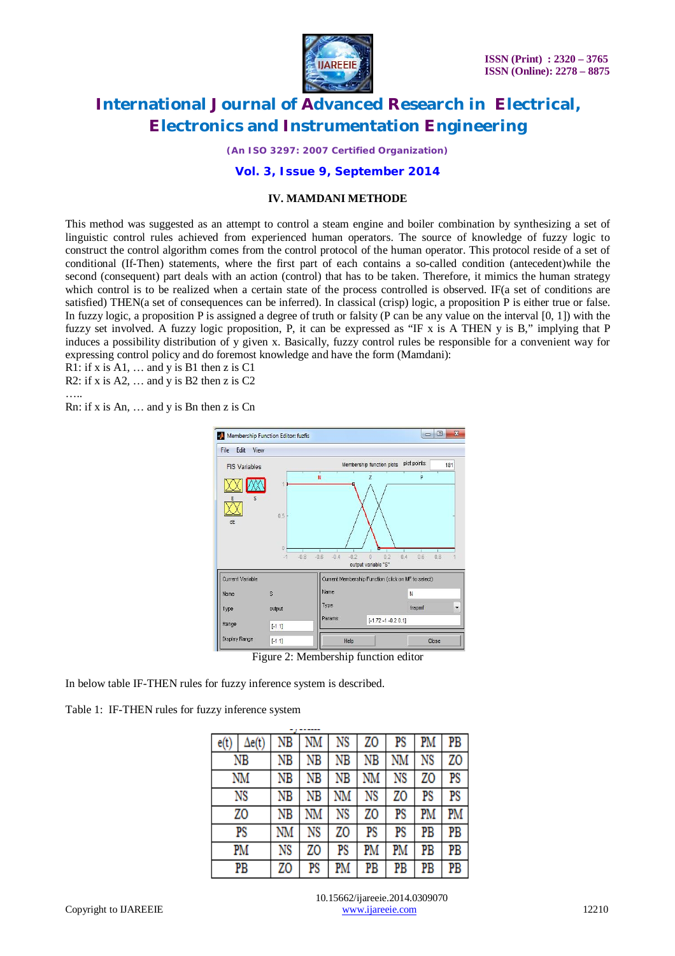

*(An ISO 3297: 2007 Certified Organization)*

### **Vol. 3, Issue 9, September 2014**

#### **IV. MAMDANI METHODE**

This method was suggested as an attempt to control a steam engine and boiler combination by synthesizing a set of linguistic control rules achieved from experienced human operators. The source of knowledge of fuzzy logic to construct the control algorithm comes from the control protocol of the human operator. This protocol reside of a set of conditional (If-Then) statements, where the first part of each contains a so-called condition (antecedent)while the second (consequent) part deals with an action (control) that has to be taken. Therefore, it mimics the human strategy which control is to be realized when a certain state of the process controlled is observed. IF(a set of conditions are satisfied) THEN(a set of consequences can be inferred). In classical (crisp) logic, a proposition P is either true or false. In fuzzy logic, a proposition P is assigned a degree of truth or falsity (P can be any value on the interval  $[0, 1]$ ) with the fuzzy set involved. A fuzzy logic proposition, P, it can be expressed as "IF x is A THEN y is B," implying that P induces a possibility distribution of y given x. Basically, fuzzy control rules be responsible for a convenient way for expressing control policy and do foremost knowledge and have the form (Mamdani):

R1: if x is  $A1$ , ... and y is B1 then z is C1

R2: if x is A2,  $\dots$  and y is B2 then z is C2

…..

Rn: if x is An, … and y is Bn then z is Cn



Figure 2: Membership function editor

In below table IF-THEN rules for fuzzy inference system is described.

Table 1: IF-THEN rules for fuzzy inference system

| e(t) | Δe(t) | ΝB | NM | NS | ZO | PS | PM | PB |
|------|-------|----|----|----|----|----|----|----|
| ΝB   |       | ΝB | ΝB | NΒ | ΝB | NM | NS | ZO |
|      | NM    | ΝB | ΝB | ΝB | NM | NS | ZO | PS |
|      | NS    | ΝB | ΝB | NΜ | NS | ZO | PS | PS |
|      | ZO    | ΝB | NM | NS | ZO | PS | PM | PM |
|      | PS    | NM | NS | ZO | PS | PS | PB | PB |
|      | PM    | NS | ZO | PS | PM | PM | PB | PB |
| PB   |       | ZO | PS | PM | PB | PB | PB | PB |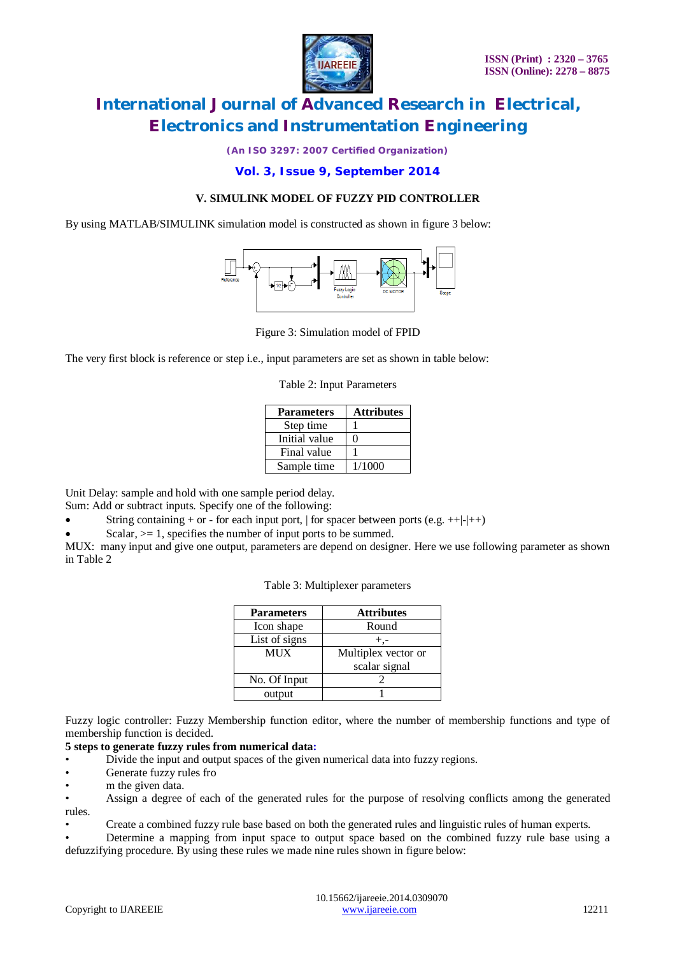

*(An ISO 3297: 2007 Certified Organization)*

### **Vol. 3, Issue 9, September 2014**

### **V. SIMULINK MODEL OF FUZZY PID CONTROLLER**

By using MATLAB/SIMULINK simulation model is constructed as shown in figure 3 below:



Figure 3: Simulation model of FPID

The very first block is reference or step i.e., input parameters are set as shown in table below:

Table 2: Input Parameters

| <b>Parameters</b> | <b>Attributes</b> |
|-------------------|-------------------|
| Step time         |                   |
| Initial value     |                   |
| Final value       |                   |
| Sample time       | 1/1000            |

Unit Delay: sample and hold with one sample period delay.

Sum: Add or subtract inputs. Specify one of the following:

String containing + or - for each input port,  $\vert$  for spacer between ports (e.g. ++ $\vert$ - $\vert$ ++ $\rangle$ )

Scalar,  $\geq 1$ , specifies the number of input ports to be summed.

MUX: many input and give one output, parameters are depend on designer. Here we use following parameter as shown in Table 2

|  |  | Table 3: Multiplexer parameters |
|--|--|---------------------------------|
|--|--|---------------------------------|

| <b>Parameters</b> | <b>Attributes</b>   |
|-------------------|---------------------|
| Icon shape        | Round               |
| List of signs     |                     |
| MUX               | Multiplex vector or |
|                   | scalar signal       |
| No. Of Input      |                     |
| output            |                     |

Fuzzy logic controller: Fuzzy Membership function editor, where the number of membership functions and type of membership function is decided.

#### **5 steps to generate fuzzy rules from numerical data:**

- Divide the input and output spaces of the given numerical data into fuzzy regions.
- Generate fuzzy rules fro
- m the given data.

• Assign a degree of each of the generated rules for the purpose of resolving conflicts among the generated rules.

• Create a combined fuzzy rule base based on both the generated rules and linguistic rules of human experts.

• Determine a mapping from input space to output space based on the combined fuzzy rule base using a defuzzifying procedure. By using these rules we made nine rules shown in figure below: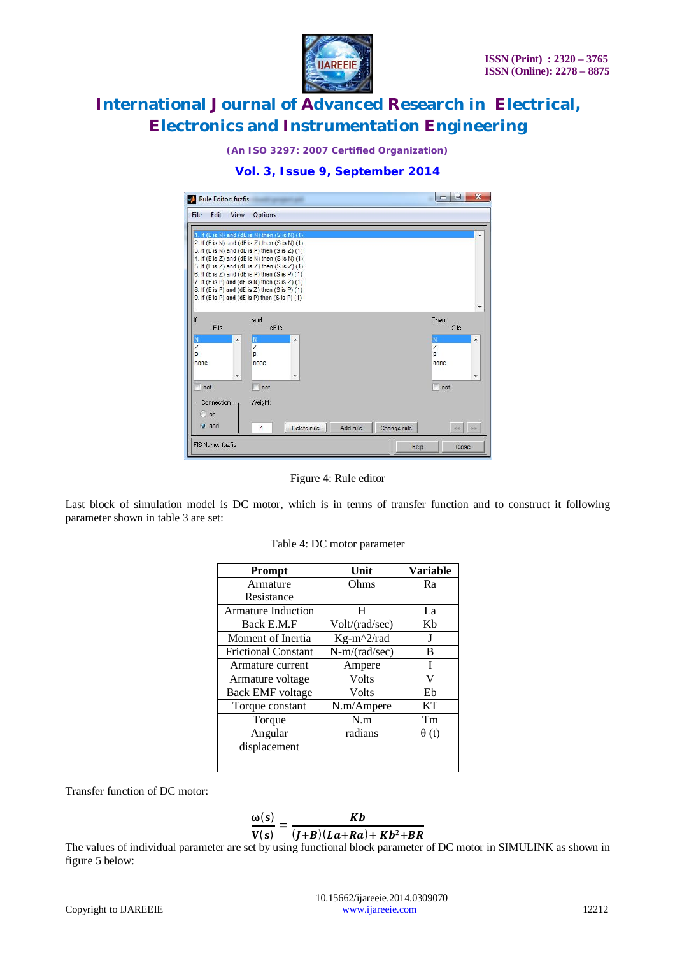

*(An ISO 3297: 2007 Certified Organization)*



### **Vol. 3, Issue 9, September 2014**

Figure 4: Rule editor

Last block of simulation model is DC motor, which is in terms of transfer function and to construct it following parameter shown in table 3 are set:

| <b>Prompt</b>              | Unit            | <b>Variable</b> |  |
|----------------------------|-----------------|-----------------|--|
| Armature                   | Ohms            | Ra              |  |
| Resistance                 |                 |                 |  |
| <b>Armature Induction</b>  | H               | La              |  |
| Back E.M.F                 | Volt/(rad/sec)  | Kb              |  |
| Moment of Inertia          | $Kg-m^2/rad$    | J               |  |
| <b>Frictional Constant</b> | $N-m/(rad/sec)$ | B               |  |
| Armature current           | Ampere          | T               |  |
| Armature voltage           | Volts           | V               |  |
| <b>Back EMF</b> voltage    | Volts           | Eb              |  |
| Torque constant            | N.m/Ampere      | KT              |  |
| Torque                     | N.m             | Tm              |  |
| Angular                    | radians         | $\theta(t)$     |  |
| displacement               |                 |                 |  |
|                            |                 |                 |  |

| Table 4: DC motor parameter |  |  |
|-----------------------------|--|--|
|-----------------------------|--|--|

Transfer function of DC motor:

$$
\frac{\omega(s)}{V(s)} = \frac{Kb}{(J+B)(La+Ra) + Kb^2 + BR}
$$

The values of individual parameter are set by using functional block parameter of DC motor in SIMULINK as shown in figure 5 below: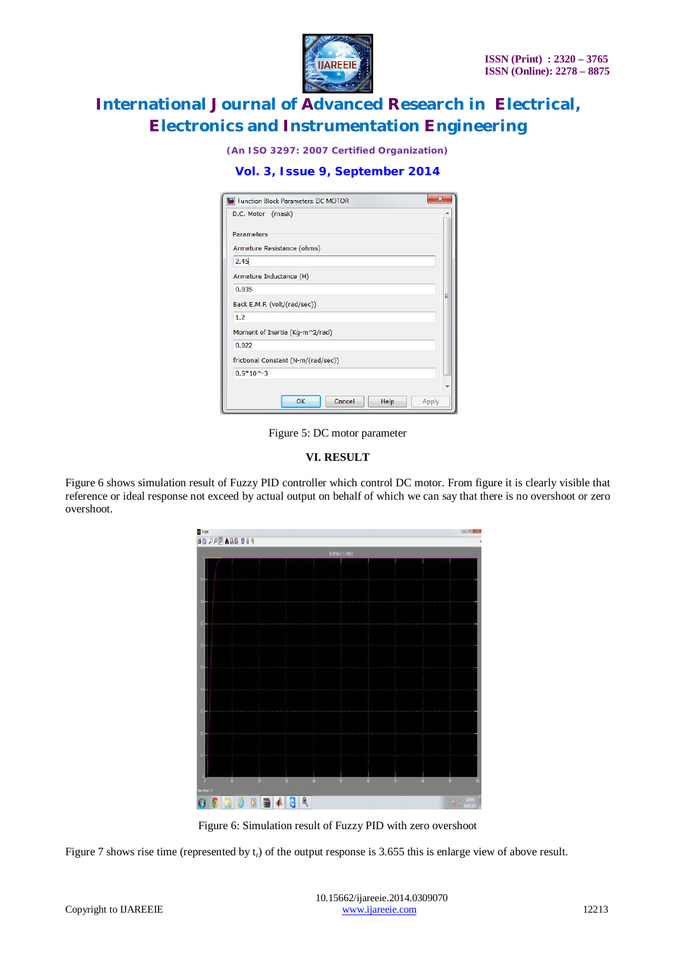

*(An ISO 3297: 2007 Certified Organization)*

**Vol. 3, Issue 9, September 2014**

| Function Block Parameters: DC MOTOR |       |
|-------------------------------------|-------|
| D.C. Motor (mask)                   |       |
| Parameters                          |       |
| Armature Resistance (ohms)          |       |
| 2.45                                |       |
| Armature Inductance (H)             |       |
| 0.035                               |       |
| Back E.M.F. (volt/(rad/sec))        |       |
| 1.2                                 |       |
| Moment of Inertia (Kg-m^2/rad)      |       |
| 0.022                               |       |
| frictional Constant (N-m/(rad/sec)) |       |
| $0.5*10-3$                          |       |
|                                     |       |
| Cancel<br>OK<br>Help                | Apply |

Figure 5: DC motor parameter

### **VI. RESULT**

Figure 6 shows simulation result of Fuzzy PID controller which control DC motor. From figure it is clearly visible that reference or ideal response not exceed by actual output on behalf of which we can say that there is no overshoot or zero overshoot.

|                             |    | REFORE FLURED |              |         |  |
|-----------------------------|----|---------------|--------------|---------|--|
|                             |    |               |              |         |  |
|                             |    |               |              |         |  |
|                             |    |               |              |         |  |
|                             |    |               |              |         |  |
|                             |    |               |              |         |  |
|                             |    |               |              |         |  |
|                             |    |               |              |         |  |
|                             |    |               |              |         |  |
|                             |    |               |              |         |  |
|                             |    |               |              |         |  |
|                             |    |               |              |         |  |
|                             |    |               |              |         |  |
|                             |    |               |              |         |  |
|                             |    |               |              |         |  |
|                             |    |               |              |         |  |
|                             |    |               |              |         |  |
|                             |    |               |              |         |  |
|                             |    |               |              |         |  |
|                             |    | 19            |              |         |  |
|                             |    |               |              |         |  |
| Ĥ.<br>A.<br>m<br>Theathat O | a. | Ŵ<br>Ŵ.       | $\mathbf{u}$ | D.<br>и |  |

Figure 6: Simulation result of Fuzzy PID with zero overshoot

Figure 7 shows rise time (represented by  $t_r$ ) of the output response is 3.655 this is enlarge view of above result.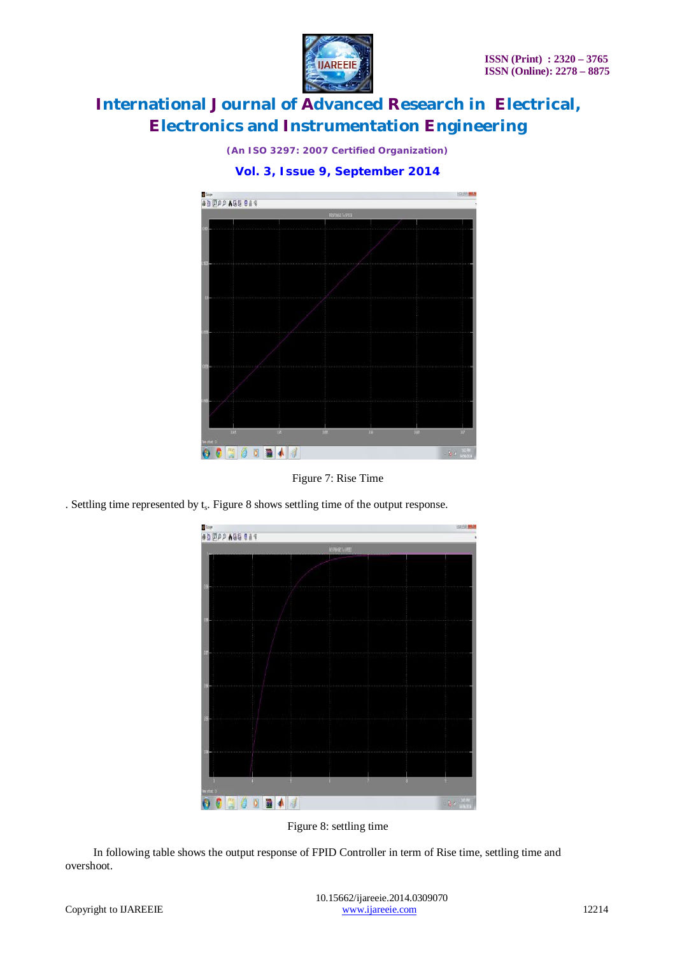

*(An ISO 3297: 2007 Certified Organization)*



Figure 7: Rise Time

. Settling time represented by  $t_s$ . Figure 8 shows settling time of the output response.



Figure 8: settling time

In following table shows the output response of FPID Controller in term of Rise time, settling time and overshoot.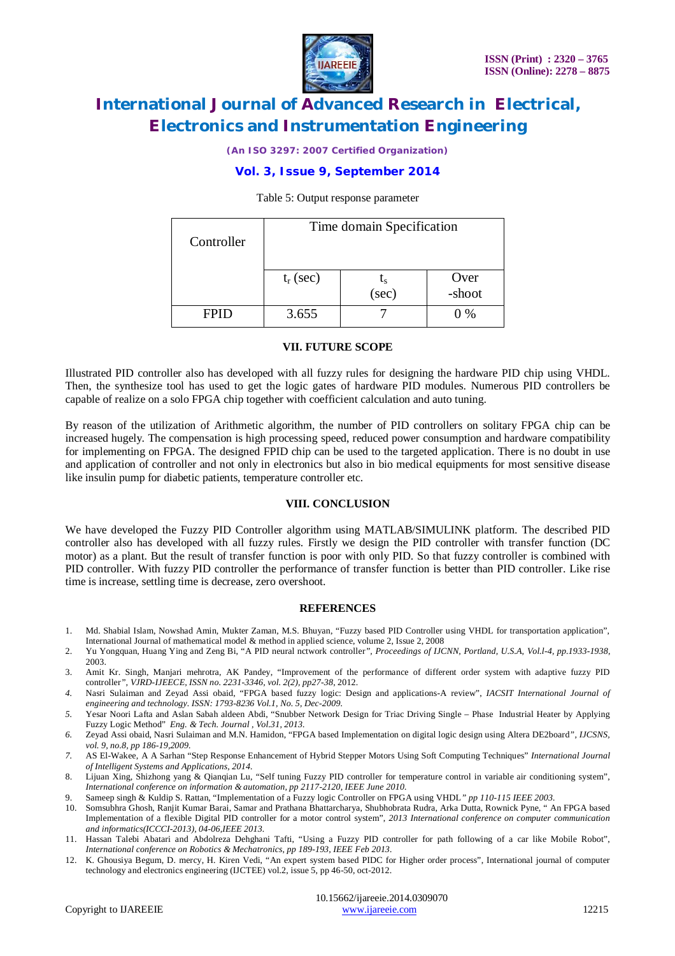

*(An ISO 3297: 2007 Certified Organization)*

### **Vol. 3, Issue 9, September 2014**

#### Table 5: Output response parameter

| Controller | Time domain Specification |       |                |  |
|------------|---------------------------|-------|----------------|--|
|            | $t_r$ (sec)               | (sec) | Over<br>-shoot |  |
| FPH)       | 3.655                     |       | 0 %            |  |

#### **VII. FUTURE SCOPE**

Illustrated PID controller also has developed with all fuzzy rules for designing the hardware PID chip using VHDL. Then, the synthesize tool has used to get the logic gates of hardware PID modules. Numerous PID controllers be capable of realize on a solo FPGA chip together with coefficient calculation and auto tuning.

By reason of the utilization of Arithmetic algorithm, the number of PID controllers on solitary FPGA chip can be increased hugely. The compensation is high processing speed, reduced power consumption and hardware compatibility for implementing on FPGA. The designed FPID chip can be used to the targeted application. There is no doubt in use and application of controller and not only in electronics but also in bio medical equipments for most sensitive disease like insulin pump for diabetic patients, temperature controller etc.

#### **VIII. CONCLUSION**

We have developed the Fuzzy PID Controller algorithm using MATLAB/SIMULINK platform. The described PID controller also has developed with all fuzzy rules. Firstly we design the PID controller with transfer function (DC motor) as a plant. But the result of transfer function is poor with only PID. So that fuzzy controller is combined with PID controller. With fuzzy PID controller the performance of transfer function is better than PID controller. Like rise time is increase, settling time is decrease, zero overshoot.

#### **REFERENCES**

- 1. Md. Shabial Islam, Nowshad Amin, Mukter Zaman, M.S. Bhuyan, "Fuzzy based PID Controller using VHDL for transportation application", International Journal of mathematical model & method in applied science, volume 2, Issue 2, 2008
- 2. Yu Yongquan, Huang Ying and Zeng Bi, "A PID neural nctwork controller*", Proceedings of IJCNN, Portland, U.S.A, Vol.l-4, pp.1933-1938*, 2003.
- 3. Amit Kr. Singh, Manjari mehrotra, AK Pandey, "Improvement of the performance of different order system with adaptive fuzzy PID controller*", VJRD-IJEECE, ISSN no. 2231-3346, vol. 2(2), pp27-38*, 2012.
- *4.* Nasri Sulaiman and Zeyad Assi obaid, "FPGA based fuzzy logic: Design and applications-A review", *IACSIT International Journal of engineering and technology. ISSN: 1793-8236 Vol.1, No. 5, Dec-2009.*
- *5.* Yesar Noori Lafta and Aslan Sabah aldeen Abdi, "Snubber Network Design for Triac Driving Single Phase Industrial Heater by Applying Fuzzy Logic Method" *Eng. & Tech. Journal , Vol.31, 2013.*
- *6.* Zeyad Assi obaid, Nasri Sulaiman and M.N. Hamidon, "FPGA based Implementation on digital logic design using Altera DE2board*", IJCSNS, vol. 9, no.8, pp 186-19,2009.*
- *7.* AS El-Wakee, A A Sarhan "Step Response Enhancement of Hybrid Stepper Motors Using Soft Computing Techniques" *International Journal of Intelligent Systems and Applications, 2014.*
- 8. Lijuan Xing, Shizhong yang & Qianqian Lu, "Self tuning Fuzzy PID controller for temperature control in variable air conditioning system", *International conference on information & automation, pp 2117-2120, IEEE June 2010.*
- 9. Sameep singh & Kuldip S. Rattan, "Implementation of a Fuzzy logic Controller on FPGA using VHDL*" pp 110-115 IEEE 2003.*
- 10. Somsubhra Ghosh, Ranjit Kumar Barai, Samar and Prathana Bhattarcharya, Shubhobrata Rudra, Arka Dutta, Rownick Pyne, " An FPGA based Implementation of a flexible Digital PID controller for a motor control system", *2013 International conference on computer communication and informatics(ICCCI-2013), 04-06,IEEE 2013.*
- 11. Hassan Talebi Abatari and Abdolreza Dehghani Tafti, "Using a Fuzzy PID controller for path following of a car like Mobile Robot", *International conference on Robotics & Mechatronics, pp 189-193, IEEE Feb 2013.*
- 12. K. Ghousiya Begum, D. mercy, H. Kiren Vedi, "An expert system based PIDC for Higher order process", International journal of computer technology and electronics engineering (IJCTEE) vol.2, issue 5, pp 46-50, oct-2012.